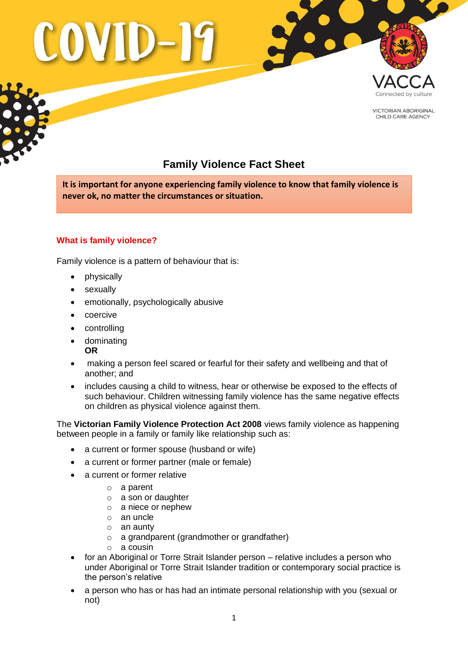

**VICTORIAN ABORIGINAL** CHILD CARE AGENCY

# **Family Violence Fact Sheet**

**It is important for anyone experiencing family violence to know that family violence is never ok, no matter the circumstances or situation.** 

# **What is family violence?**

Family violence is a pattern of behaviour that is:

- physically
- sexually
- emotionally, psychologically abusive
- coercive
- controlling
- dominating **OR**
- making a person feel scared or fearful for their safety and wellbeing and that of another; and
- includes causing a child to witness, hear or otherwise be exposed to the effects of such behaviour. Children witnessing family violence has the same negative effects on children as physical violence against them.

The **Victorian Family Violence Protection Act 2008** views family violence as happening between people in a family or family like relationship such as:

- a current or former spouse (husband or wife)
- a current or former partner (male or female)
- a current or former relative
	- o a parent
	- o a son or daughter
	- o a niece or nephew
	- o an uncle
	- o an aunty
	- $\circ$  a grandparent (grandmother or grandfather)
	- o a cousin
- for an Aboriginal or Torre Strait Islander person relative includes a person who under Aboriginal or Torre Strait Islander tradition or contemporary social practice is the person's relative
- a person who has or has had an intimate personal relationship with you (sexual or not)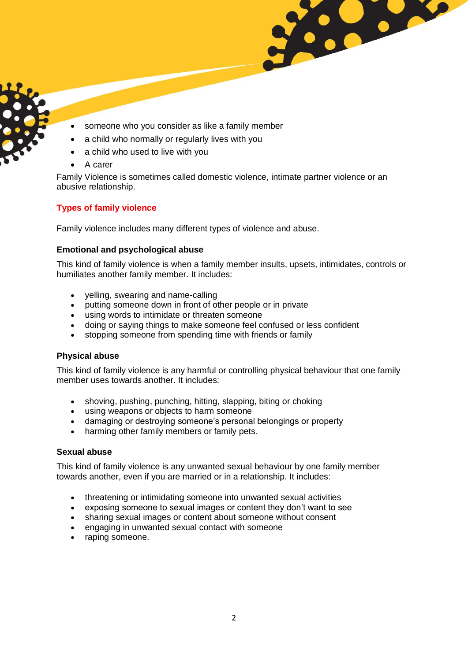- someone who you consider as like a family member
- a child who normally or regularly lives with you
- a child who used to live with you
- A carer

Family Violence is sometimes called domestic violence, intimate partner violence or an abusive relationship.

8.00

## **Types of family violence**

Family violence includes many different types of violence and abuse.

### **Emotional and psychological abuse**

This kind of family violence is when a family member insults, upsets, intimidates, controls or humiliates another family member. It includes:

- yelling, swearing and name-calling
- putting someone down in front of other people or in private
- using words to intimidate or threaten someone
- doing or saying things to make someone feel confused or less confident
- stopping someone from spending time with friends or family

### **Physical abuse**

This kind of family violence is any harmful or controlling physical behaviour that one family member uses towards another. It includes:

- shoving, pushing, punching, hitting, slapping, biting or choking
- using weapons or objects to harm someone
- damaging or destroying someone's personal belongings or property
- harming other family members or family pets.

### **Sexual abuse**

This kind of family violence is any unwanted sexual behaviour by one family member towards another, even if you are married or in a relationship. It includes:

- threatening or intimidating someone into unwanted sexual activities
- exposing someone to sexual images or content they don't want to see
- sharing sexual images or content about someone without consent
- engaging in unwanted sexual contact with someone
- raping someone.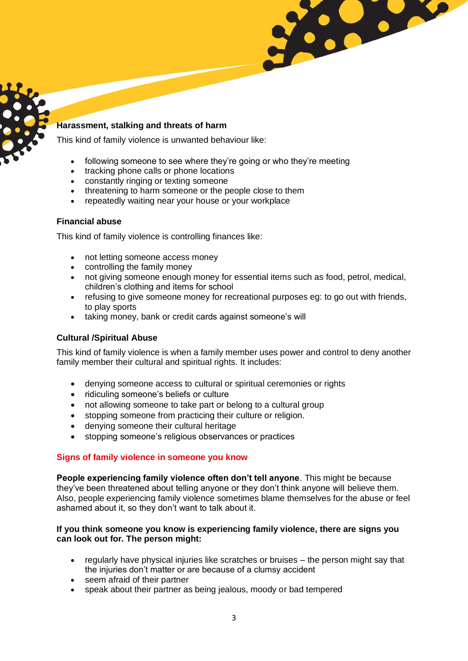### **Harassment, stalking and threats of harm**

This kind of family violence is unwanted behaviour like:

- following someone to see where they're going or who they're meeting<br>• tracking phone calls or phone locations
- tracking phone calls or phone locations
- constantly ringing or texting someone
- threatening to harm someone or the people close to them
- repeatedly waiting near your house or your workplace

### **Financial abuse**

This kind of family violence is controlling finances like:

- not letting someone access money
- controlling the family money
- not giving someone enough money for essential items such as food, petrol, medical, children's clothing and items for school

Y

- refusing to give someone money for recreational purposes eg: to go out with friends, to play sports
- taking money, bank or credit cards against someone's will

### **Cultural /Spiritual Abuse**

This kind of family violence is when a family member uses power and control to deny another family member their cultural and spiritual rights. It includes:

- denying someone access to cultural or spiritual ceremonies or rights
- ridiculing someone's beliefs or culture
- not allowing someone to take part or belong to a cultural group
- stopping someone from practicing their culture or religion.
- denying someone their cultural heritage
- stopping someone's religious observances or practices

### **Signs of family violence in someone you know**

**People experiencing family violence often don't tell anyone**. This might be because they've been threatened about telling anyone or they don't think anyone will believe them. Also, people experiencing family violence sometimes blame themselves for the abuse or feel ashamed about it, so they don't want to talk about it.

#### **If you think someone you know is experiencing family violence, there are signs you can look out for. The person might:**

- regularly have physical injuries like scratches or bruises the person might say that the injuries don't matter or are because of a clumsy accident
- seem afraid of their partner
- speak about their partner as being jealous, moody or bad tempered